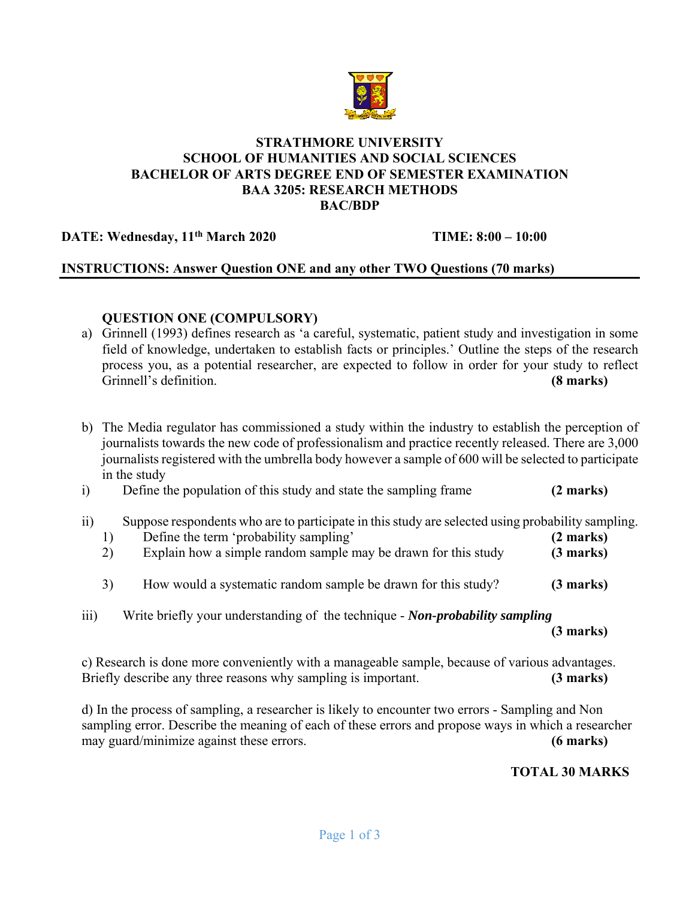

#### **STRATHMORE UNIVERSITY SCHOOL OF HUMANITIES AND SOCIAL SCIENCES BACHELOR OF ARTS DEGREE END OF SEMESTER EXAMINATION BAA 3205: RESEARCH METHODS BAC/BDP**

**DATE: Wednesday, 11th March 2020 TIME: 8:00 – 10:00** 

# **INSTRUCTIONS: Answer Question ONE and any other TWO Questions (70 marks)**

# **QUESTION ONE (COMPULSORY)**

- a) Grinnell (1993) defines research as 'a careful, systematic, patient study and investigation in some field of knowledge, undertaken to establish facts or principles.' Outline the steps of the research process you, as a potential researcher, are expected to follow in order for your study to reflect Grinnell's definition. **(8 marks)**
- b) The Media regulator has commissioned a study within the industry to establish the perception of journalists towards the new code of professionalism and practice recently released. There are 3,000 journalists registered with the umbrella body however a sample of 600 will be selected to participate in the study
- i) Define the population of this study and state the sampling frame **(2 marks)**
- ii) Suppose respondents who are to participate in this study are selected using probability sampling.
	- 1) Define the term 'probability sampling' **(2 marks)**
	- 2) Explain how a simple random sample may be drawn for this study **(3 marks)**
	- 3) How would a systematic random sample be drawn for this study? **(3 marks)**
- iii) Write briefly your understanding of the technique *Non-probability sampling* **(3 marks)**

c) Research is done more conveniently with a manageable sample, because of various advantages. Briefly describe any three reasons why sampling is important. **(3 marks)**

d) In the process of sampling, a researcher is likely to encounter two errors - Sampling and Non sampling error. Describe the meaning of each of these errors and propose ways in which a researcher may guard/minimize against these errors. **(6 marks)**

**TOTAL 30 MARKS**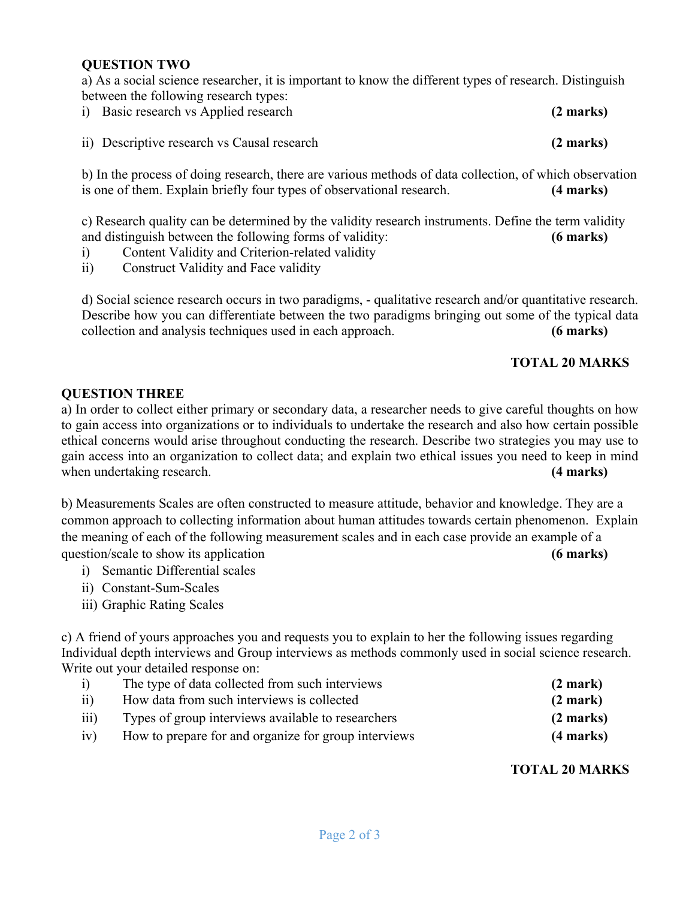### **QUESTION TWO**

a) As a social science researcher, it is important to know the different types of research. Distinguish between the following research types:

| i) Basic research vs Applied research       | $(2 \text{ marks})$ |
|---------------------------------------------|---------------------|
| ii) Descriptive research vs Causal research | $(2 \text{ marks})$ |

b) In the process of doing research, there are various methods of data collection, of which observation is one of them. Explain briefly four types of observational research. **(4 marks)**

c) Research quality can be determined by the validity research instruments. Define the term validity and distinguish between the following forms of validity: **(6 marks)**

- i) Content Validity and Criterion-related validity
- ii) Construct Validity and Face validity

d) Social science research occurs in two paradigms, - qualitative research and/or quantitative research. Describe how you can differentiate between the two paradigms bringing out some of the typical data collection and analysis techniques used in each approach. **(6 marks)**

### **TOTAL 20 MARKS**

### **QUESTION THREE**

a) In order to collect either primary or secondary data, a researcher needs to give careful thoughts on how to gain access into organizations or to individuals to undertake the research and also how certain possible ethical concerns would arise throughout conducting the research. Describe two strategies you may use to gain access into an organization to collect data; and explain two ethical issues you need to keep in mind when undertaking research. **(4 marks) (4 marks)** 

b) Measurements Scales are often constructed to measure attitude, behavior and knowledge. They are a common approach to collecting information about human attitudes towards certain phenomenon. Explain the meaning of each of the following measurement scales and in each case provide an example of a question/scale to show its application **(6 marks) (6 marks)** 

- i) Semantic Differential scales
- ii) Constant-Sum-Scales
- iii) Graphic Rating Scales

c) A friend of yours approaches you and requests you to explain to her the following issues regarding Individual depth interviews and Group interviews as methods commonly used in social science research. Write out your detailed response on:

| (2 mark)            |
|---------------------|
| (2 mark)            |
| $(2 \text{ marks})$ |
| $(4$ marks)         |
|                     |

### **TOTAL 20 MARKS**